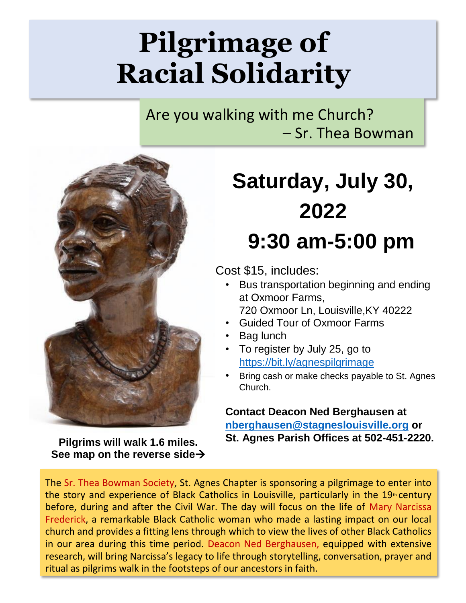## **Pilgrimage of Racial Solidarity**

Are you walking with me Church? – Sr. Thea Bowman



**Pilgrims will walk 1.6 miles. See map on the reverse side**→

## **Saturday, July 30, 2022 9:30 am-5:00 pm**

Cost \$15, includes:

- Bus transportation beginning and ending at Oxmoor Farms,
- 720 Oxmoor Ln, Louisville,KY 40222
- Guided Tour of Oxmoor Farms
- Bag lunch
- To register by July 25, go to <https://bit.ly/agnespilgrimage>
- Bring cash or make checks payable to St. Agnes Church.

**Contact Deacon Ned Berghausen at [nberghausen@stagneslouisville.org](mailto:nberghausen@stagneslouisville.org) or St. Agnes Parish Offices at 502-451-2220.**

The Sr. Thea Bowman Society, St. Agnes Chapter is sponsoring a pilgrimage to enter into the story and experience of Black Catholics in Louisville, particularly in the  $19<sup>th</sup>$  century before, during and after the Civil War. The day will focus on the life of Mary Narcissa Frederick, a remarkable Black Catholic woman who made a lasting impact on our local church and provides a fitting lens through which to view the lives of other Black Catholics in our area during this time period. Deacon Ned Berghausen, equipped with extensive research, will bring Narcissa's legacy to life through storytelling, conversation, prayer and ritual as pilgrims walk in the footsteps of our ancestors in faith.